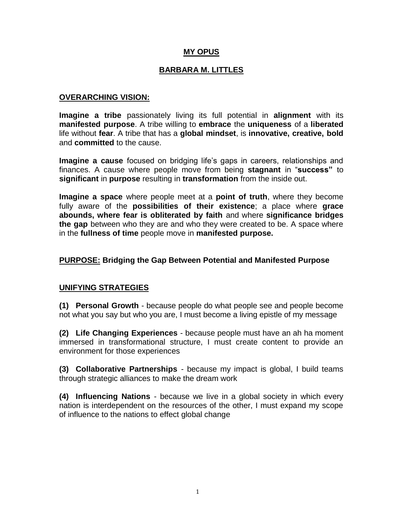## **MY OPUS**

## **BARBARA M. LITTLES**

#### **OVERARCHING VISION:**

**Imagine a tribe** passionately living its full potential in **alignment** with its **manifested purpose**. A tribe willing to **embrace** the **uniqueness** of a **liberated**  life without **fear**. A tribe that has a **global mindset**, is **innovative, creative, bold**  and **committed** to the cause.

**Imagine a cause** focused on bridging life's gaps in careers, relationships and finances. A cause where people move from being **stagnant** in "**success"** to **significant** in **purpose** resulting in **transformation** from the inside out.

**Imagine a space** where people meet at a **point of truth**, where they become fully aware of the **possibilities of their existence**; a place where **grace abounds, where fear is obliterated by faith** and where **significance bridges the gap** between who they are and who they were created to be. A space where in the **fullness of time** people move in **manifested purpose.**

### **PURPOSE: Bridging the Gap Between Potential and Manifested Purpose**

### **UNIFYING STRATEGIES**

**(1) Personal Growth** - because people do what people see and people become not what you say but who you are, I must become a living epistle of my message

**(2) Life Changing Experiences** - because people must have an ah ha moment immersed in transformational structure, I must create content to provide an environment for those experiences

**(3) Collaborative Partnerships** - because my impact is global, I build teams through strategic alliances to make the dream work

**(4) Influencing Nations** - because we live in a global society in which every nation is interdependent on the resources of the other, I must expand my scope of influence to the nations to effect global change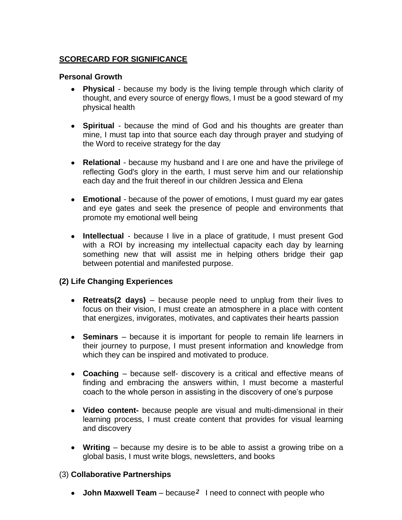## **SCORECARD FOR SIGNIFICANCE**

### **Personal Growth**

- **Physical**  because my body is the living temple through which clarity of thought, and every source of energy flows, I must be a good steward of my physical health
- **Spiritual**  because the mind of God and his thoughts are greater than mine, I must tap into that source each day through prayer and studying of the Word to receive strategy for the day
- **Relational**  because my husband and I are one and have the privilege of reflecting God's glory in the earth, I must serve him and our relationship each day and the fruit thereof in our children Jessica and Elena
- **Emotional**  because of the power of emotions, I must guard my ear gates and eye gates and seek the presence of people and environments that promote my emotional well being
- **Intellectual**  because I live in a place of gratitude, I must present God with a ROI by increasing my intellectual capacity each day by learning something new that will assist me in helping others bridge their gap between potential and manifested purpose.

## **(2) Life Changing Experiences**

- **Retreats(2 days)**  because people need to unplug from their lives to focus on their vision, I must create an atmosphere in a place with content that energizes, invigorates, motivates, and captivates their hearts passion
- **Seminars**  because it is important for people to remain life learners in their journey to purpose, I must present information and knowledge from which they can be inspired and motivated to produce.
- **Coaching**  because self- discovery is a critical and effective means of finding and embracing the answers within, I must become a masterful coach to the whole person in assisting in the discovery of one's purpose
- **Video content-** because people are visual and multi-dimensional in their learning process, I must create content that provides for visual learning and discovery
- **Writing**  because my desire is to be able to assist a growing tribe on a global basis, I must write blogs, newsletters, and books

## (3) **Collaborative Partnerships**

• **John Maxwell Team** – because<sup>2</sup> I need to connect with people who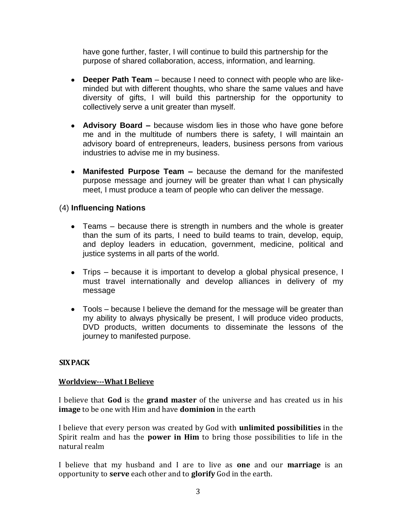have gone further, faster, I will continue to build this partnership for the purpose of shared collaboration, access, information, and learning.

- **Deeper Path Team**  because I need to connect with people who are likeminded but with different thoughts, who share the same values and have diversity of gifts, I will build this partnership for the opportunity to collectively serve a unit greater than myself.
- **Advisory Board –** because wisdom lies in those who have gone before me and in the multitude of numbers there is safety, I will maintain an advisory board of entrepreneurs, leaders, business persons from various industries to advise me in my business.
- **Manifested Purpose Team –** because the demand for the manifested purpose message and journey will be greater than what I can physically meet, I must produce a team of people who can deliver the message.

## (4) **Influencing Nations**

- Teams because there is strength in numbers and the whole is greater than the sum of its parts, I need to build teams to train, develop, equip, and deploy leaders in education, government, medicine, political and justice systems in all parts of the world.
- Trips because it is important to develop a global physical presence, I must travel internationally and develop alliances in delivery of my message
- Tools because I believe the demand for the message will be greater than my ability to always physically be present, I will produce video products, DVD products, written documents to disseminate the lessons of the journey to manifested purpose.

### **SIX PACK**

#### **Worldview-What I Believe**

I believe that **God** is the **grand master** of the universe and has created us in his **image** to be one with Him and have **dominion** in the earth

I believe that every person was created by God with **unlimited possibilities** in the Spirit realm and has the **power in Him** to bring those possibilities to life in the natural realm

I believe that my husband and I are to live as **one** and our **marriage** is an opportunity to **serve** each other and to **glorify** God in the earth.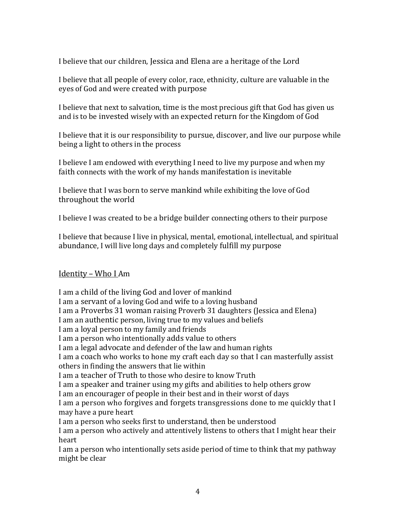I believe that our children, Jessica and Elena are a heritage of the Lord

I believe that all people of every color, race, ethnicity, culture are valuable in the eyes of God and were created with purpose

I believe that next to salvation, time is the most precious gift that God has given us and is to be invested wisely with an expected return for the Kingdom of God

I believe that it is our responsibility to pursue, discover, and live our purpose while being a light to others in the process

I believe I am endowed with everything I need to live my purpose and when my faith connects with the work of my hands manifestation is inevitable

I believe that I was born to serve mankind while exhibiting the love of God throughout the world

I believe I was created to be a bridge builder connecting others to their purpose

I believe that because I live in physical, mental, emotional, intellectual, and spiritual abundance, I will live long days and completely fulfill my purpose

## Identity – Who I Am

I am a child of the living God and lover of mankind I am a servant of a loving God and wife to a loving husband I am a Proverbs 31 woman raising Proverb 31 daughters (Jessica and Elena) I am an authentic person, living true to my values and beliefs I am a loyal person to my family and friends I am a person who intentionally adds value to others I am a legal advocate and defender of the law and human rights I am a coach who works to hone my craft each day so that I can masterfully assist others in finding the answers that lie within I am a teacher of Truth to those who desire to know Truth I am a speaker and trainer using my gifts and abilities to help others grow I am an encourager of people in their best and in their worst of days I am a person who forgives and forgets transgressions done to me quickly that I may have a pure heart I am a person who seeks first to understand, then be understood I am a person who actively and attentively listens to others that I might hear their heart I am a person who intentionally sets aside period of time to think that my pathway might be clear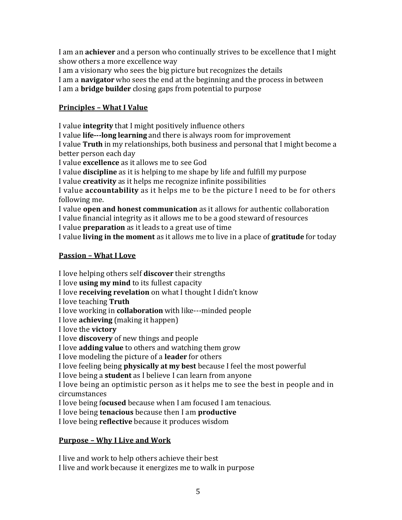I am an **achiever** and a person who continually strives to be excellence that I might show others a more excellence way

I am a visionary who sees the big picture but recognizes the details

I am a **navigator** who sees the end at the beginning and the process in between

I am a **bridge builder** closing gaps from potential to purpose

## **Principles – What I Value**

I value **integrity** that I might positively influence others I value **life-long learning** and there is always room for improvement I value **Truth** in my relationships, both business and personal that I might become a better person each day

I value **excellence** as it allows me to see God

I value **discipline** as it is helping to me shape by life and fulfill my purpose

I value **creativity** as it helps me recognize infinite possibilities

I value **accountability** as it helps me to be the picture I need to be for others following me.

I value **open and honest communication** as it allows for authentic collaboration I value financial integrity as it allows me to be a good steward of resources

I value **preparation** as it leads to a great use of time

I value **living in the moment** as it allows me to live in a place of **gratitude** for today

## **Passion – What I Love**

I love helping others self **discover** their strengths

I love **using my mind** to its fullest capacity

I love **receiving revelation** on what I thought I didn't know

I love teaching **Truth**

I love working in **collaboration** with like---minded people

I love **achieving** (making it happen)

I love the **victory**

I love **discovery** of new things and people

I love **adding value** to others and watching them grow

I love modeling the picture of a **leader** for others

I love feeling being **physically at my best** because I feel the most powerful

I love being a **student** as I believe I can learn from anyone

I love being an optimistic person as it helps me to see the best in people and in circumstances

I love being f**ocused** because when I am focused I am tenacious.

I love being **tenacious** because then I am **productive**

I love being **reflective** because it produces wisdom

# **Purpose – Why I Live and Work**

I live and work to help others achieve their best I live and work because it energizes me to walk in purpose